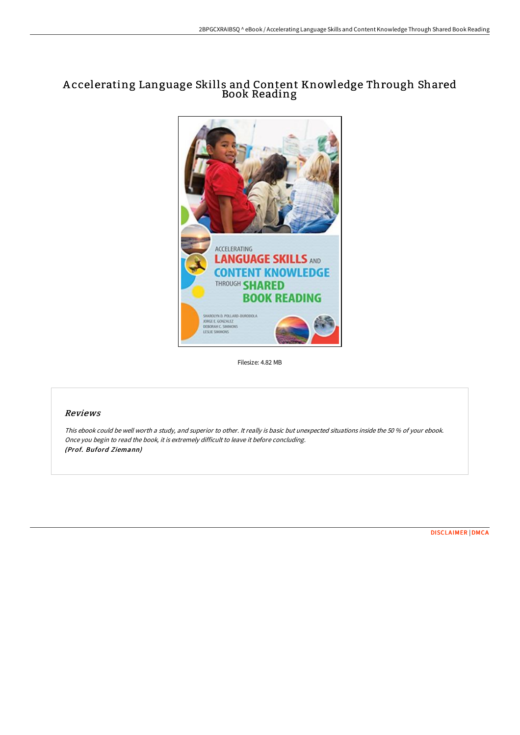## A ccelerating Language Skills and Content Knowledge Through Shared Book Reading



Filesize: 4.82 MB

## Reviews

This ebook could be well worth <sup>a</sup> study, and superior to other. It really is basic but unexpected situations inside the 50 % of your ebook. Once you begin to read the book, it is extremely difficult to leave it before concluding. (Prof. Buford Ziemann)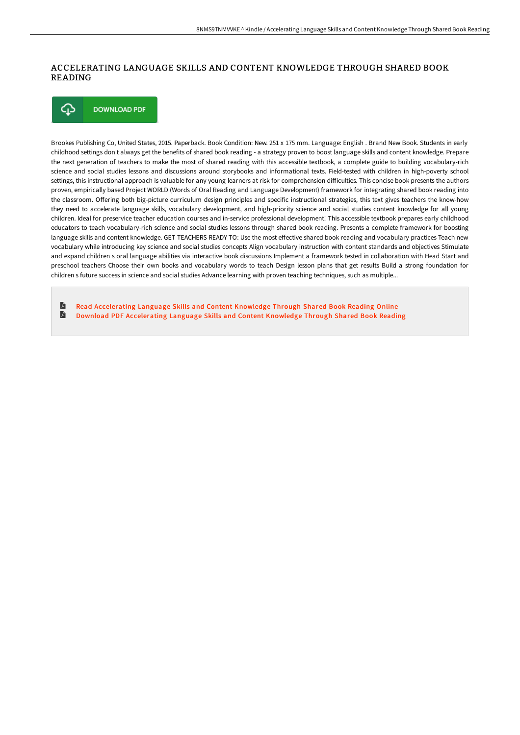## ACCELERATING LANGUAGE SKILLS AND CONTENT KNOWLEDGE THROUGH SHARED BOOK READING



Brookes Publishing Co, United States, 2015. Paperback. Book Condition: New. 251 x 175 mm. Language: English . Brand New Book. Students in early childhood settings don t always get the benefits of shared book reading - a strategy proven to boost language skills and content knowledge. Prepare the next generation of teachers to make the most of shared reading with this accessible textbook, a complete guide to building vocabulary-rich science and social studies lessons and discussions around storybooks and informational texts. Field-tested with children in high-poverty school settings, this instructional approach is valuable for any young learners at risk for comprehension difficulties. This concise book presents the authors proven, empirically based Project WORLD (Words of Oral Reading and Language Development) framework for integrating shared book reading into the classroom. Offering both big-picture curriculum design principles and specific instructional strategies, this text gives teachers the know-how they need to accelerate language skills, vocabulary development, and high-priority science and social studies content knowledge for all young children. Ideal for preservice teacher education courses and in-service professional development! This accessible textbook prepares early childhood educators to teach vocabulary-rich science and social studies lessons through shared book reading. Presents a complete framework for boosting language skills and content knowledge. GET TEACHERS READY TO: Use the most effective shared book reading and vocabulary practices Teach new vocabulary while introducing key science and social studies concepts Align vocabulary instruction with content standards and objectives Stimulate and expand children s oral language abilities via interactive book discussions Implement a framework tested in collaboration with Head Start and preschool teachers Choose their own books and vocabulary words to teach Design lesson plans that get results Build a strong foundation for children s future success in science and social studies Advance learning with proven teaching techniques, such as multiple...

A Read [Accelerating](http://techno-pub.tech/accelerating-language-skills-and-content-knowled.html) Language Skills and Content Knowledge Through Shared Book Reading Online A Download PDF [Accelerating](http://techno-pub.tech/accelerating-language-skills-and-content-knowled.html) Language Skills and Content Knowledge Through Shared Book Reading